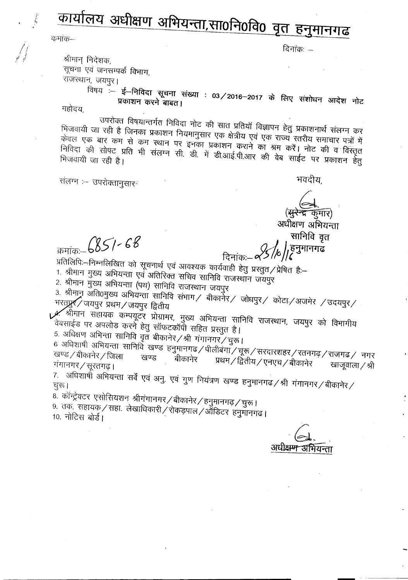कार्यालय अधीक्षण अभियन्ता,सा0नि0वि0 वृत हनुमानगढ

कमांक—

दिनांकः —

श्रीमान् निदेशक, सूचना एवं जनसम्पर्क विभाग, राजस्थान, जयपुर।

विषय<sup>़</sup>— ई—निविदा सूचना संख्या : 03/2016–2017 के लिए संशोधन आदेश नोट प्रकाशन करने बाबत।

महोदय,

उपरोक्त विषयान्तर्गत निविदा नोट की सात प्रतियॉ विज्ञापन हेतु प्रकाशनार्थ संलग्न कर भिजवायी जा रही है जिनका प्रकाशन नियमानुसार एक क्षेत्रीय एवं एक राज्य स्तरीय समाचार पत्रों में केवल एक बार कम से कम स्थान पर इनका प्रकाशन कराने का श्रम करें। नोट की व विस्तृत निविदा की सोपट प्रति भी संलग्न सी. डी. में डी.आई.पी.आर की वेब साईट पर प्रकाशन हेतु

संलग्न :- उपरोक्तानुसार

भवदीय,

(<del>सुरेन्द्र क</del>मार) अधीक्षण अभियन्ता

सानिवि वृत हनुमानगढ

 $57 - 6851 - 68$ 

दिनांकः प्रतिलिपिः-निम्नलिखित को सूचनार्थ एवं आवश्यक कार्यवाही हेतु प्रस्तुत/प्रेषित हैः-

1. श्रीमान मुख्य अभियन्ता एवं अतिरिक्त सचिव सानिवि राजस्थान जयपुर

2. श्रीमान मुख्य अभियन्ता (पथ) सानिवि राजस्थान जयपुर

3. श्रीमान् अंति0मुख्य अभियन्ता सानिवि संभाग/ बीकार्नेर/ जोधपुर/ कोटा/अजमेर /उदयपुर/ भरतप्रुस् जयपुर प्रथम / जयपुर द्वितीय

 $\mathscr{M}$ श्रीमान सहायक कम्पयूटर प्रोग्रामर, मुख्य अभियन्ता सानिवि राजस्थान, जयपुर को विभागीय वेबसाईड पर अपलोड करने हेतु सॉफटकॉर्पी सहित प्रस्तुत है।

5. अधिक्षण अभिन्ता सानिवि वृत बीकानेर /श्री गंगानगर / चुरू।

6 अधिशाषी अभियन्ता सानिवि खण्ड हनुमानगढ/पीलीबंगाॅ/चूरू/सरदारशहर/रतनगढ़/राजगढ/ नगर खण्ड∕बीकानेर∕जिला बीकानेर प्रथम / द्वितीय / एनएच / बीकानेर गंगानगर / सूरतगढ़। खाजूवाला / श्री

7. अधिशार्षो अभियन्ता सर्वे एवं अनु. एवं गुण नियंत्रण खण्ड हनुमानगढ/श्री गंगानगर/बीकानेर/

8. कॉन्ट्रेक्टर एसोसियशन श्रीगंगानगर/बीकानेर/हनुमानगढ़/चुरू।

9. तक. सहायक/सहा. लेखाधिकारी/रोकड़पाल/ऑडिटर हनुमानगढ़। 10. नोटिस बोर्ड।

अधोक्षम